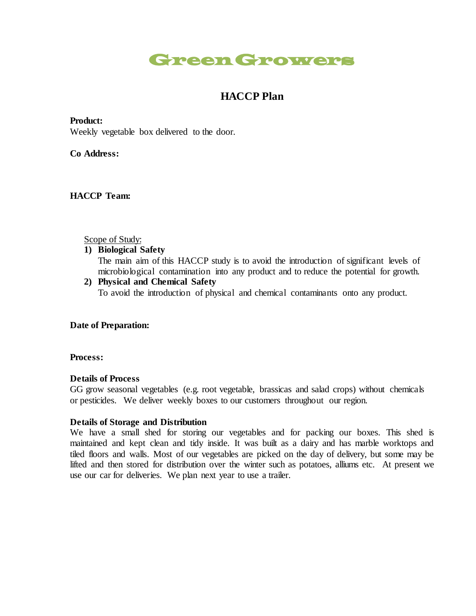# Green Growers

# **HACCP Plan**

**Product:**

Weekly vegetable box delivered to the door.

**Co Address:**

**HACCP Team:**

#### Scope of Study:

**1) Biological Safety**

The main aim of this HACCP study is to avoid the introduction of significant levels of microbiological contamination into any product and to reduce the potential for growth.

**2) Physical and Chemical Safety** To avoid the introduction of physical and chemical contaminants onto any product.

### **Date of Preparation:**

**Process:**

#### **Details of Process**

GG grow seasonal vegetables (e.g. root vegetable, brassicas and salad crops) without chemicals or pesticides. We deliver weekly boxes to our customers throughout our region.

#### **Details of Storage and Distribution**

We have a small shed for storing our vegetables and for packing our boxes. This shed is maintained and kept clean and tidy inside. It was built as a dairy and has marble worktops and tiled floors and walls. Most of our vegetables are picked on the day of delivery, but some may be lifted and then stored for distribution over the winter such as potatoes, alliums etc. At present we use our car for deliveries. We plan next year to use a trailer.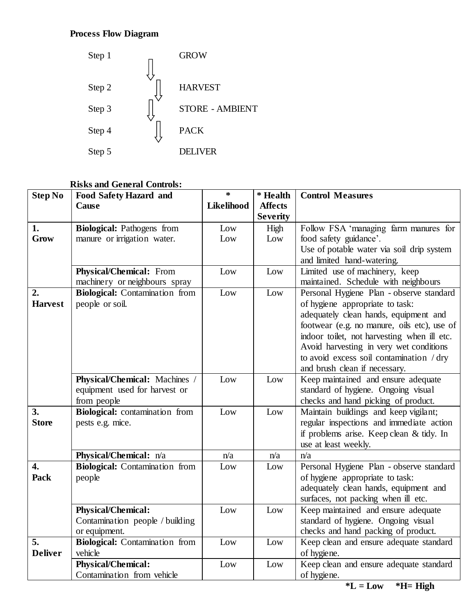# **Process Flow Diagram**



# **Risks and General Controls:**

| <b>Step No</b>   | <b>Food Safety Hazard and</b>         | $\ast$            | * Health        | <b>Control Measures</b>                     |
|------------------|---------------------------------------|-------------------|-----------------|---------------------------------------------|
|                  | Cause                                 | <b>Likelihood</b> | <b>Affects</b>  |                                             |
|                  |                                       |                   | <b>Severity</b> |                                             |
| 1.               | <b>Biological:</b> Pathogens from     | Low               | High            | Follow FSA 'managing farm manures for       |
| Grow             | manure or irrigation water.           | Low               | Low             | food safety guidance'.                      |
|                  |                                       |                   |                 | Use of potable water via soil drip system   |
|                  |                                       |                   |                 | and limited hand-watering.                  |
|                  | <b>Physical/Chemical:</b> From        | Low               | Low             | Limited use of machinery, keep              |
|                  | machinery or neighbours spray         |                   |                 | maintained. Schedule with neighbours        |
| 2.               | <b>Biological:</b> Contamination from | Low               | Low             | Personal Hygiene Plan - observe standard    |
| <b>Harvest</b>   | people or soil.                       |                   |                 | of hygiene appropriate to task:             |
|                  |                                       |                   |                 | adequately clean hands, equipment and       |
|                  |                                       |                   |                 | footwear (e.g. no manure, oils etc), use of |
|                  |                                       |                   |                 | indoor toilet, not harvesting when ill etc. |
|                  |                                       |                   |                 | Avoid harvesting in very wet conditions     |
|                  |                                       |                   |                 | to avoid excess soil contamination / dry    |
|                  |                                       |                   |                 | and brush clean if necessary.               |
|                  | Physical/Chemical: Machines /         | Low               | Low             | Keep maintained and ensure adequate         |
|                  | equipment used for harvest or         |                   |                 | standard of hygiene. Ongoing visual         |
|                  | from people                           |                   |                 | checks and hand picking of product.         |
| 3.               | Biological: contamination from        | Low               | Low             | Maintain buildings and keep vigilant;       |
| <b>Store</b>     | pests e.g. mice.                      |                   |                 | regular inspections and immediate action    |
|                  |                                       |                   |                 | if problems arise. Keep clean & tidy. In    |
|                  |                                       |                   |                 | use at least weekly.                        |
|                  | Physical/Chemical: n/a                | n/a               | n/a             | n/a                                         |
| $\overline{4}$ . | <b>Biological:</b> Contamination from | Low               | Low             | Personal Hygiene Plan - observe standard    |
| Pack             | people                                |                   |                 | of hygiene appropriate to task:             |
|                  |                                       |                   |                 | adequately clean hands, equipment and       |
|                  |                                       |                   |                 | surfaces, not packing when ill etc.         |
|                  | <b>Physical/Chemical:</b>             | Low               | Low             | Keep maintained and ensure adequate         |
|                  | Contamination people / building       |                   |                 | standard of hygiene. Ongoing visual         |
|                  | or equipment.                         |                   |                 | checks and hand packing of product.         |
| 5.               | <b>Biological:</b> Contamination from | Low               | Low             | Keep clean and ensure adequate standard     |
| <b>Deliver</b>   | vehicle                               |                   |                 | of hygiene.                                 |
|                  | <b>Physical/Chemical:</b>             | Low               | Low             | Keep clean and ensure adequate standard     |
|                  | Contamination from vehicle            |                   |                 | of hygiene.                                 |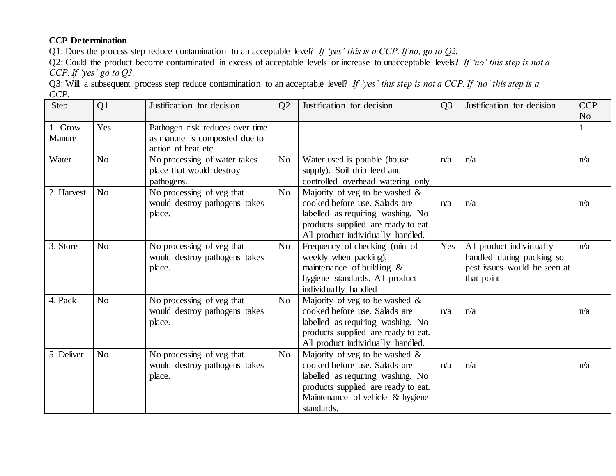# **CCP Determination**

Q1: Does the process step reduce contamination to an acceptable level? *If 'yes' this is a CCP. If no, go to Q2.*

Q2: Could the product become contaminated in excess of acceptable levels or increase to unacceptable levels? *If 'no' this step is not a CCP. If 'yes' go to Q3.*

Q3: Will a subsequent process step reduce contamination to an acceptable level? *If 'yes' this step is not a CCP. If 'no' this step is a CCP.*

| Step              | Q1             | Justification for decision                                                             | Q2             | Justification for decision                                                                                                                                                                       | Q <sub>3</sub> | Justification for decision                                                                          | <b>CCP</b><br>N <sub>o</sub> |
|-------------------|----------------|----------------------------------------------------------------------------------------|----------------|--------------------------------------------------------------------------------------------------------------------------------------------------------------------------------------------------|----------------|-----------------------------------------------------------------------------------------------------|------------------------------|
| 1. Grow<br>Manure | Yes            | Pathogen risk reduces over time<br>as manure is composted due to<br>action of heat etc |                |                                                                                                                                                                                                  |                |                                                                                                     |                              |
| Water             | N <sub>o</sub> | No processing of water takes<br>place that would destroy<br>pathogens.                 | N <sub>0</sub> | Water used is potable (house<br>supply). Soil drip feed and<br>controlled overhead watering only                                                                                                 | n/a            | n/a                                                                                                 | n/a                          |
| 2. Harvest        | N <sub>o</sub> | No processing of veg that<br>would destroy pathogens takes<br>place.                   | N <sub>o</sub> | Majority of veg to be washed $\&$<br>cooked before use. Salads are<br>labelled as requiring washing. No<br>products supplied are ready to eat.<br>All product individually handled.              | n/a            | n/a                                                                                                 | n/a                          |
| 3. Store          | N <sub>o</sub> | No processing of veg that<br>would destroy pathogens takes<br>place.                   | N <sub>o</sub> | Frequency of checking (min of<br>weekly when packing),<br>maintenance of building $\&$<br>hygiene standards. All product<br>individually handled                                                 | Yes            | All product individually<br>handled during packing so<br>pest issues would be seen at<br>that point | n/a                          |
| 4. Pack           | No             | No processing of veg that<br>would destroy pathogens takes<br>place.                   | No             | Majority of veg to be washed $\&$<br>cooked before use. Salads are<br>labelled as requiring washing. No<br>products supplied are ready to eat.<br>All product individually handled.              | n/a            | n/a                                                                                                 | n/a                          |
| 5. Deliver        | N <sub>o</sub> | No processing of veg that<br>would destroy pathogens takes<br>place.                   | N <sub>o</sub> | Majority of veg to be washed $\&$<br>cooked before use. Salads are<br>labelled as requiring washing. No<br>products supplied are ready to eat.<br>Maintenance of vehicle & hygiene<br>standards. | n/a            | n/a                                                                                                 | n/a                          |